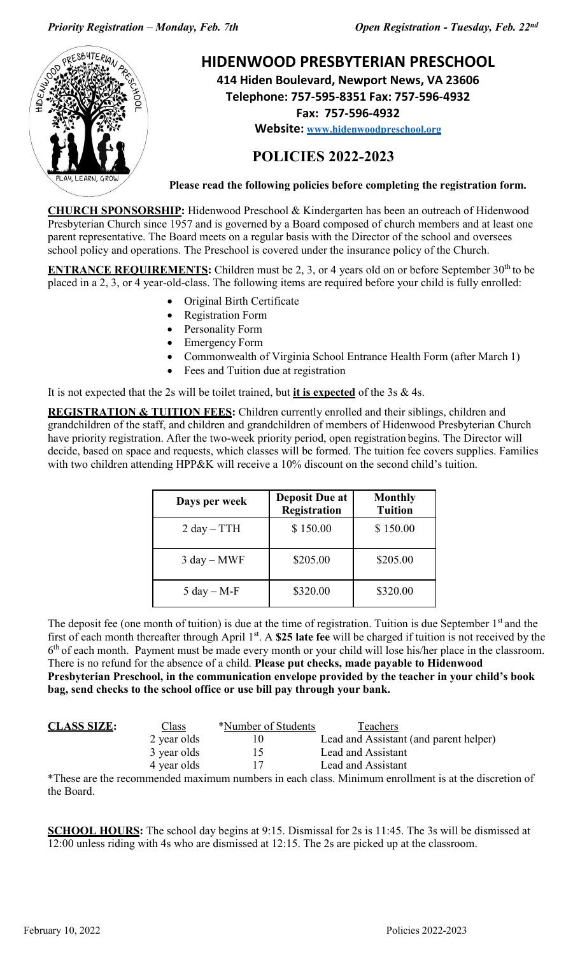

## **HIDENWOOD PRESBYTERIAN PRESCHOOL**

**414 Hiden Boulevard, Newport News, VA 23606 Telephone: 757-595-8351 Fax: 757-596-4932 Fax: 757-596-4932**

**Website: [www.hidenwoodpreschool.org](http://www.hidenwoodpreschool.org/)**

## **POLICIES 2022-2023**

**Please read the following policies before completing the registration form.**

**CHURCH SPONSORSHIP:** Hidenwood Preschool & Kindergarten has been an outreach of Hidenwood Presbyterian Church since 1957 and is governed by a Board composed of church members and at least one parent representative. The Board meets on a regular basis with the Director of the school and oversees school policy and operations. The Preschool is covered under the insurance policy of the Church.

**ENTRANCE REQUIREMENTS:** Children must be 2, 3, or 4 years old on or before September 30<sup>th</sup> to be placed in a 2, 3, or 4 year-old-class. The following items are required before your child is fully enrolled:

- Original Birth Certificate
- Registration Form
- Personality Form
- Emergency Form
- Commonwealth of Virginia School Entrance Health Form (after March 1)
- Fees and Tuition due at registration

It is not expected that the 2s will be toilet trained, but **it is expected** of the 3s & 4s.

**REGISTRATION & TUITION FEES:** Children currently enrolled and their siblings, children and grandchildren of the staff, and children and grandchildren of members of Hidenwood Presbyterian Church have priority registration. After the two-week priority period, open registration begins. The Director will decide, based on space and requests, which classes will be formed. The tuition fee covers supplies. Families with two children attending HPP&K will receive a 10% discount on the second child's tuition.

| Days per week         | <b>Deposit Due at</b><br>Registration | <b>Monthly</b><br><b>Tuition</b> |
|-----------------------|---------------------------------------|----------------------------------|
| $2 \text{ day} - TTH$ | \$150.00                              | \$150.00                         |
| $3 day - MWF$         | \$205.00                              | \$205.00                         |
| 5 day $-$ M-F         | \$320.00                              | \$320.00                         |

The deposit fee (one month of tuition) is due at the time of registration. Tuition is due September  $1<sup>st</sup>$  and the first of each month thereafter through April 1st. A **\$25 late fee** will be charged if tuition is not received by the  $6<sup>th</sup>$  of each month. Payment must be made every month or your child will lose his/her place in the classroom. There is no refund for the absence of a child. **Please put checks, made payable to Hidenwood Presbyterian Preschool, in the communication envelope provided by the teacher in your child's book bag, send checks to the school office or use bill pay through your bank.**

| <b>CLASS SIZE:</b> | Class       | *Number of Students | Teachers                               |
|--------------------|-------------|---------------------|----------------------------------------|
|                    | 2 year olds |                     | Lead and Assistant (and parent helper) |
|                    | 3 year olds |                     | Lead and Assistant                     |
| 4 year olds        |             |                     | Lead and Assistant                     |
| $\sim$ $-1$        |             |                     |                                        |

\*These are the recommended maximum numbers in each class. Minimum enrollment is at the discretion of the Board.

**SCHOOL HOURS:** The school day begins at 9:15. Dismissal for 2s is 11:45. The 3s will be dismissed at 12:00 unless riding with 4s who are dismissed at 12:15. The 2s are picked up at the classroom.